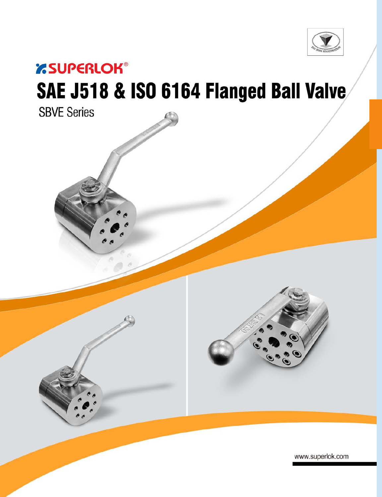

# *<b>ESUPERLOK®*

# SAE J518 & ISO 6164 Flanged Ball Valve



www.superlok.com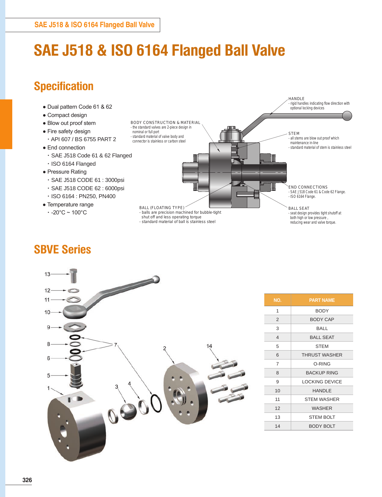## **SAE J518 & ISO 6164 Flanged Ball Valve**

### **Specification**

- Dual pattern Code 61 & 62
- Compact design
- Blow out proof stem
- Fire safety design
- API 607 / BS 6755 PART 2
- End connection
- SAE J518 Code 61 & 62 Flanged
- ISO 6164 Flanged
- Pressure Rating
	- SAE J518 CODE 61 : 3000psi
	- SAE J518 CODE 62 : 6000psi
	- ISO 6164 : PN250, PN400
- Temperature range
- $\cdot$  -20°C ~ 100°C







| NO.            | <b>PART NAME</b>      |
|----------------|-----------------------|
| 1              | <b>BODY</b>           |
| $\overline{2}$ | <b>BODY CAP</b>       |
| 3              | BALL                  |
| $\overline{4}$ | <b>BALL SEAT</b>      |
| 5              | <b>STEM</b>           |
| 6              | <b>THRUST WASHER</b>  |
| 7              | O-RING                |
| 8              | <b>BACKUP RING</b>    |
| 9              | <b>LOCKING DEVICE</b> |
| 10             | <b>HANDLE</b>         |
| 11             | <b>STEM WASHER</b>    |
| 12             | <b>WASHER</b>         |
| 13             | <b>STEM BOLT</b>      |
| 14             | <b>BODY BOLT</b>      |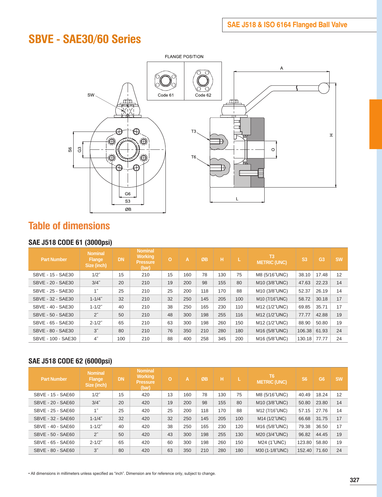### **SBVE - SAE30/60 Series**



#### **Table of dimensions**

#### **SAE J518 CODE 61 (3000psi)**

| <b>Part Number</b> | <b>Nominal</b><br><b>Flange</b><br>Size (inch) | <b>DN</b> | <b>Nominal</b><br><b>Working</b><br><b>Pressure</b><br>(bar) | $\overline{O}$ | A   | ØB  | н   |     | T <sub>3</sub><br><b>METRIC (UNC)</b> | S <sub>3</sub> | G <sub>3</sub> | <b>SW</b> |
|--------------------|------------------------------------------------|-----------|--------------------------------------------------------------|----------------|-----|-----|-----|-----|---------------------------------------|----------------|----------------|-----------|
| SBVE - 15 - SAE30  | $1/2$ "                                        | 15        | 210                                                          | 15             | 160 | 78  | 130 | 75  | M8 (5/16"UNC)                         | 38.10          | 17.48          | 12        |
| SBVE - 20 - SAE30  | $3/4$ "                                        | 20        | 210                                                          | 19             | 200 | 98  | 155 | 80  | M10 (3/8"UNC)                         | 47.63          | 22.23          | 14        |
| SBVE - 25 - SAE30  | 1 <sup>''</sup>                                | 25        | 210                                                          | 25             | 200 | 118 | 170 | 88  | M10 (3/8"UNC)                         | 52.37          | 26.19          | 14        |
| SBVE - 32 - SAE30  | $1 - 1/4$ "                                    | 32        | 210                                                          | 32             | 250 | 145 | 205 | 100 | M10 (7/16"UNC)                        | 58.72          | 30.18          | 17        |
| SBVE - 40 - SAE30  | $1 - 1/2$ "                                    | 40        | 210                                                          | 38             | 250 | 165 | 230 | 110 | M12 (1/2"UNC)                         | 69.85          | 35.71          | 17        |
| SBVE - 50 - SAE30  | $2^{\prime\prime}$                             | 50        | 210                                                          | 48             | 300 | 198 | 255 | 116 | M12 (1/2"UNC)                         | 77.77          | 42.88          | 19        |
| SBVE - 65 - SAE30  | $2 - 1/2"$                                     | 65        | 210                                                          | 63             | 300 | 198 | 260 | 150 | M12 (1/2"UNC)                         | 88.90          | 50.80          | 19        |
| SBVE - 80 - SAE30  | 3"                                             | 80        | 210                                                          | 76             | 350 | 210 | 280 | 180 | M16 (5/8"UNC)                         | 106.38         | 61.93          | 24        |
| SBVE - 100 - SAE30 | $4^{\prime\prime}$                             | 100       | 210                                                          | 88             | 400 | 258 | 345 | 200 | M16 (5/8"UNC)                         | 130.18         | 77.77          | 24        |

#### **SAE J518 CODE 62 (6000psi)**

| <b>Part Number</b> | <b>Nominal</b><br><b>Flange</b><br>Size (inch) | <b>DN</b> | <b>Nominal</b><br><b>Working</b><br><b>Pressure</b><br>(bar) | o  | A   | ØB  | н   |     | T <sub>6</sub><br><b>METRIC (UNC)</b> | <b>S6</b> | G <sub>6</sub> | <b>SW</b> |
|--------------------|------------------------------------------------|-----------|--------------------------------------------------------------|----|-----|-----|-----|-----|---------------------------------------|-----------|----------------|-----------|
| SBVE - 15 - SAE60  | $1/2$ "                                        | 15        | 420                                                          | 13 | 160 | 78  | 130 | 75  | M8 (5/16"UNC)                         | 40.49     | 18.24          | 12        |
| SBVE - 20 - SAE60  | $3/4$ "                                        | 20        | 420                                                          | 19 | 200 | 98  | 155 | 80  | M10 (3/8"UNC)                         | 50.80     | 23.80          | 14        |
| SBVE - 25 - SAE60  | 1 <sup>''</sup>                                | 25        | 420                                                          | 25 | 200 | 118 | 170 | 88  | M12 (7/16"UNC)                        | 57.15     | 27.76          | 14        |
| SBVE - 32 - SAE60  | $1 - 1/4$ "                                    | 32        | 420                                                          | 32 | 250 | 145 | 205 | 100 | M14 (1/2"UNC)                         | 66.68     | 31.75          | 17        |
| SBVE - 40 - SAE60  | $1 - 1/2"$                                     | 40        | 420                                                          | 38 | 250 | 165 | 230 | 120 | M16 (5/8"UNC)                         | 79.38     | 36.50          | 17        |
| SBVE - 50 - SAE60  | $2^{\prime\prime}$                             | 50        | 420                                                          | 43 | 300 | 198 | 255 | 130 | M20 (3/4"UNC)                         | 96.82     | 44.45          | 19        |
| SBVE - 65 - SAE60  | $2 - 1/2"$                                     | 65        | 420                                                          | 60 | 300 | 198 | 260 | 150 | M24 (1"UNC)                           | 123.80    | 58.80          | 19        |
| SBVE - 80 - SAE60  | 3''                                            | 80        | 420                                                          | 63 | 350 | 210 | 280 | 180 | M30 (1-1/8"UNC)                       | 152.40    | 71.60          | 24        |

• All dimensions in millimeters unless specified as "inch". Dimension are for reference only, subject to change.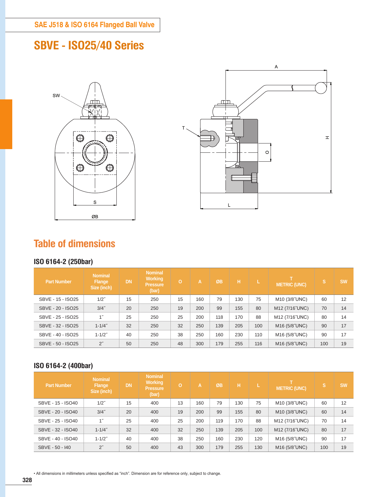### **SBVE - ISO25/40 Series**





#### **Table of dimensions**

#### **ISO 6164-2 (250bar)**

| <b>Part Number</b> | <b>Nominal</b><br><b>Flange</b><br>Size (inch) | <b>DN</b> | <b>Nominal</b><br><b>Working</b><br><b>Pressure</b><br>(bar) | $\circ$ | A.  | ØB  | н   |     | <b>METRIC (UNC)</b>       | s   | <b>SW</b> |
|--------------------|------------------------------------------------|-----------|--------------------------------------------------------------|---------|-----|-----|-----|-----|---------------------------|-----|-----------|
| SBVE - 15 - ISO25  | $1/2$ "                                        | 15        | 250                                                          | 15      | 160 | 79  | 130 | 75  | M <sub>10</sub> (3/8"UNC) | 60  | 12        |
| SBVE - 20 - ISO25  | $3/4$ "                                        | 20        | 250                                                          | 19      | 200 | 99  | 155 | 80  | M12 (7/16"UNC)            | 70  | 14        |
| SBVE - 25 - ISO25  | $1^{\prime\prime}$                             | 25        | 250                                                          | 25      | 200 | 118 | 170 | 88  | M12 (7/16"UNC)            | 80  | 14        |
| SBVE - 32 - ISO25  | $1 - 1/4$ "                                    | 32        | 250                                                          | 32      | 250 | 139 | 205 | 100 | M16 (5/8"UNC)             | 90  | 17        |
| SBVE - 40 - ISO25  | $1 - 1/2"$                                     | 40        | 250                                                          | 38      | 250 | 160 | 230 | 110 | M16 (5/8"UNC)             | 90  | 17        |
| SBVE - 50 - ISO25  | $2^{\prime\prime}$                             | 50        | 250                                                          | 48      | 300 | 179 | 255 | 116 | M <sub>16</sub> (5/8 UNC) | 100 | 19        |

#### **ISO 6164-2 (400bar)**

| <b>Part Number</b> | <b>Nominal</b><br><b>Flange</b><br>Size (inch) | <b>DN</b> | <b>Nominal</b><br><b>Working</b><br><b>Pressure</b><br>(bar) | $\circ$ | Ά.  | ØB  | н   |     | <b>METRIC (UNC)</b> | lS. | <b>SW</b> |
|--------------------|------------------------------------------------|-----------|--------------------------------------------------------------|---------|-----|-----|-----|-----|---------------------|-----|-----------|
| SBVE - 15 - ISO40  | $1/2$ "                                        | 15        | 400                                                          | 13      | 160 | 79  | 130 | 75  | M10 (3/8"UNC)       | 60  | 12        |
| SBVE - 20 - ISO40  | $3/4$ "                                        | 20        | 400                                                          | 19      | 200 | 99  | 155 | 80  | M10 (3/8"UNC)       | 60  | 14        |
| SBVE - 25 - ISO40  | 1"                                             | 25        | 400                                                          | 25      | 200 | 119 | 170 | 88  | M12 (7/16"UNC)      | 70  | 14        |
| SBVE - 32 - ISO40  | $1 - 1/4$ "                                    | 32        | 400                                                          | 32      | 250 | 139 | 205 | 100 | M12 (7/16"UNC)      | 80  | 17        |
| SBVE - 40 - ISO40  | $1 - 1/2$ "                                    | 40        | 400                                                          | 38      | 250 | 160 | 230 | 120 | M16 (5/8"UNC)       | 90  | 17        |
| SBVE - 50 - 140    | $2^{\prime\prime}$                             | 50        | 400                                                          | 43      | 300 | 179 | 255 | 130 | M16 (5/8"UNC)       | 100 | 19        |

• All dimensions in millimeters unless specified as "inch". Dimension are for reference only, subject to change.